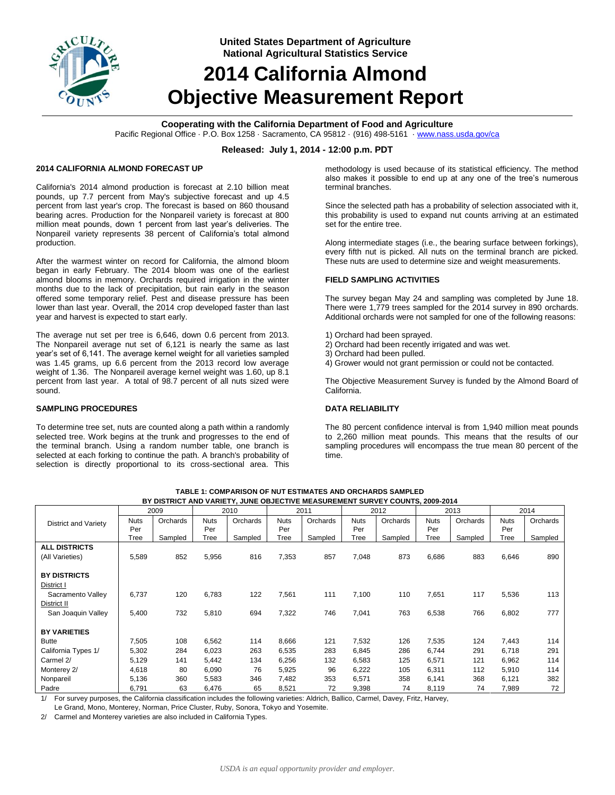

**United States Department of Agriculture National Agricultural Statistics Service**

# **2014 California Almond Objective Measurement Report**

# **Cooperating with the California Department of Food and Agriculture**

Pacific Regional Office · P.O. Box 1258 · Sacramento, CA 95812 · (916) 498-5161 [· www.nass.usda.gov/ca](http://www.nass.usda.gov/ca)

### **Released: July 1, 2014 - 12:00 p.m. PDT**

#### **2014 CALIFORNIA ALMOND FORECAST UP**

California's 2014 almond production is forecast at 2.10 billion meat pounds, up 7.7 percent from May's subjective forecast and up 4.5 percent from last year's crop. The forecast is based on 860 thousand bearing acres. Production for the Nonpareil variety is forecast at 800 million meat pounds, down 1 percent from last year's deliveries. The Nonpareil variety represents 38 percent of California's total almond production.

After the warmest winter on record for California, the almond bloom began in early February. The 2014 bloom was one of the earliest almond blooms in memory. Orchards required irrigation in the winter months due to the lack of precipitation, but rain early in the season offered some temporary relief. Pest and disease pressure has been lower than last year. Overall, the 2014 crop developed faster than last year and harvest is expected to start early.

The average nut set per tree is 6,646, down 0.6 percent from 2013. The Nonpareil average nut set of 6,121 is nearly the same as last year's set of 6,141. The average kernel weight for all varieties sampled was 1.45 grams, up 6.6 percent from the 2013 record low average weight of 1.36. The Nonpareil average kernel weight was 1.60, up 8.1 percent from last year. A total of 98.7 percent of all nuts sized were sound.

# **SAMPLING PROCEDURES**

To determine tree set, nuts are counted along a path within a randomly selected tree. Work begins at the trunk and progresses to the end of the terminal branch. Using a random number table, one branch is selected at each forking to continue the path. A branch's probability of selection is directly proportional to its cross-sectional area. This methodology is used because of its statistical efficiency. The method also makes it possible to end up at any one of the tree's numerous terminal branches.

Since the selected path has a probability of selection associated with it, this probability is used to expand nut counts arriving at an estimated set for the entire tree.

Along intermediate stages (i.e., the bearing surface between forkings), every fifth nut is picked. All nuts on the terminal branch are picked. These nuts are used to determine size and weight measurements.

#### **FIELD SAMPLING ACTIVITIES**

The survey began May 24 and sampling was completed by June 18. There were 1,779 trees sampled for the 2014 survey in 890 orchards. Additional orchards were not sampled for one of the following reasons:

- 1) Orchard had been sprayed.
- 2) Orchard had been recently irrigated and was wet.
- 3) Orchard had been pulled.
- 4) Grower would not grant permission or could not be contacted.

The Objective Measurement Survey is funded by the Almond Board of California.

#### **DATA RELIABILITY**

The 80 percent confidence interval is from 1,940 million meat pounds to 2,260 million meat pounds. This means that the results of our sampling procedures will encompass the true mean 80 percent of the time.

|                      | 2009        |          |             | 2010     |             | 2011     |             | 2012     |             | 2013     |             | 2014     |  |
|----------------------|-------------|----------|-------------|----------|-------------|----------|-------------|----------|-------------|----------|-------------|----------|--|
| District and Variety | <b>Nuts</b> | Orchards | <b>Nuts</b> | Orchards | <b>Nuts</b> | Orchards | <b>Nuts</b> | Orchards | <b>Nuts</b> | Orchards | <b>Nuts</b> | Orchards |  |
|                      | Per         |          | Per         |          | Per         |          | Per         |          | Per         |          | Per         |          |  |
|                      | Tree        | Sampled  | Tree        | Sampled  | Tree        | Sampled  | Tree        | Sampled  | Tree        | Sampled  | Tree        | Sampled  |  |
| <b>ALL DISTRICTS</b> |             |          |             |          |             |          |             |          |             |          |             |          |  |
| (All Varieties)      | 5,589       | 852      | 5,956       | 816      | 7,353       | 857      | 7,048       | 873      | 6,686       | 883      | 6,646       | 890      |  |
|                      |             |          |             |          |             |          |             |          |             |          |             |          |  |
| <b>BY DISTRICTS</b>  |             |          |             |          |             |          |             |          |             |          |             |          |  |
| District I           |             |          |             |          |             |          |             |          |             |          |             |          |  |
| Sacramento Valley    | 6,737       | 120      | 6,783       | 122      | 7,561       | 111      | 7,100       | 110      | 7,651       | 117      | 5,536       | 113      |  |
| District II          |             |          |             |          |             |          |             |          |             |          |             |          |  |
| San Joaquin Valley   | 5,400       | 732      | 5,810       | 694      | 7,322       | 746      | 7,041       | 763      | 6,538       | 766      | 6,802       | 777      |  |
|                      |             |          |             |          |             |          |             |          |             |          |             |          |  |
| <b>BY VARIETIES</b>  |             |          |             |          |             |          |             |          |             |          |             |          |  |
| <b>Butte</b>         | 7,505       | 108      | 6,562       | 114      | 8,666       | 121      | 7,532       | 126      | 7,535       | 124      | 7,443       | 114      |  |
| California Types 1/  | 5,302       | 284      | 6,023       | 263      | 6,535       | 283      | 6,845       | 286      | 6,744       | 291      | 6,718       | 291      |  |
| Carmel 2/            | 5,129       | 141      | 5,442       | 134      | 6,256       | 132      | 6,583       | 125      | 6,571       | 121      | 6,962       | 114      |  |
| Monterey 2/          | 4,618       | 80       | 6,090       | 76       | 5,925       | 96       | 6,222       | 105      | 6,311       | 112      | 5,910       | 114      |  |
| Nonpareil            | 5,136       | 360      | 5,583       | 346      | 7,482       | 353      | 6,571       | 358      | 6,141       | 368      | 6,121       | 382      |  |
| Padre                | 6,791       | 63       | 6,476       | 65       | 8,521       | 72       | 9,398       | 74       | 8,119       | 74       | 7,989       | 72       |  |

**TABLE 1: COMPARISON OF NUT ESTIMATES AND ORCHARDS SAMPLED BY DISTRICT AND VARIETY, JUNE OBJECTIVE MEASUREMENT SURVEY COUNTS, 2009-2014**

1/ For survey purposes, the California classification includes the following varieties: Aldrich, Ballico, Carmel, Davey, Fritz, Harvey,

Le Grand, Mono, Monterey, Norman, Price Cluster, Ruby, Sonora, Tokyo and Yosemite.

2/ Carmel and Monterey varieties are also included in California Types.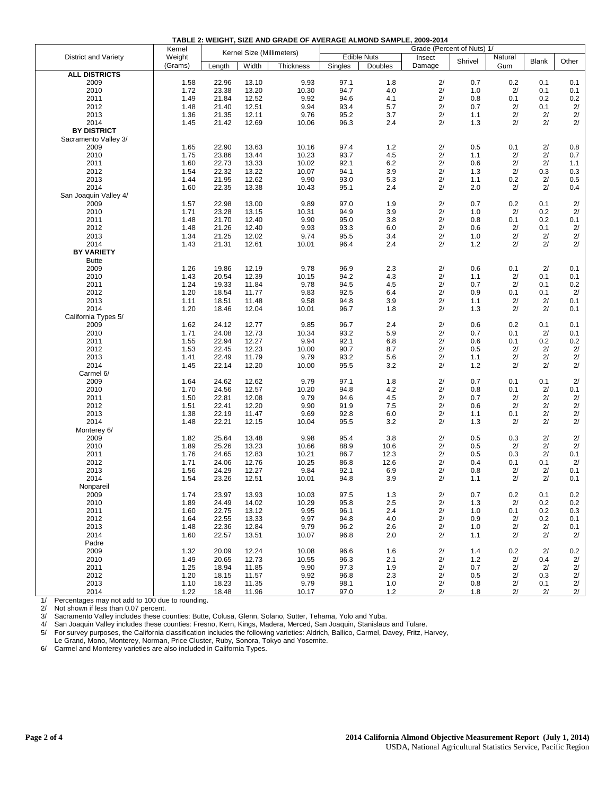| TABLE 2: WEIGHT. SIZE AND GRADE OF AVERAGE ALMOND SAMPLE. 2009-2014 |  |
|---------------------------------------------------------------------|--|
|                                                                     |  |

|                       | Kernel       | Kernel Size (Millimeters) |                |                  | Grade (Percent of Nuts) 1/ |            |          |            |          |              |                 |
|-----------------------|--------------|---------------------------|----------------|------------------|----------------------------|------------|----------|------------|----------|--------------|-----------------|
| District and Variety  | Weight       |                           |                |                  | <b>Edible Nuts</b>         |            | Insect   | Shrivel    | Natural  | <b>Blank</b> | Other           |
|                       | (Grams)      | Length                    | Width          | <b>Thickness</b> | Singles                    | Doubles    | Damage   |            | Gum      |              |                 |
| <b>ALL DISTRICTS</b>  |              |                           |                |                  |                            |            |          |            |          |              |                 |
| 2009                  | 1.58         | 22.96                     | 13.10          | 9.93             | 97.1                       | 1.8        | 2/       | 0.7        | 0.2      | 0.1          | 0.1             |
| 2010                  | 1.72         | 23.38                     | 13.20          | 10.30            | 94.7                       | 4.0        | 2/       | 1.0        | 2/       | 0.1          | 0.1             |
| 2011                  | 1.49         | 21.84                     | 12.52          | 9.92             | 94.6                       | 4.1        | 2/       | 0.8        | 0.1      | 0.2          | 0.2             |
| 2012                  | 1.48         | 21.40                     | 12.51          | 9.94             | 93.4                       | 5.7        | 2/       | 0.7        | 2/       | 0.1          | 2/              |
| 2013                  | 1.36         | 21.35                     | 12.11          | 9.76             | 95.2                       | 3.7        | 2/       | 1.1        | 2/       | 2/           | $2/$            |
| 2014                  | 1.45         | 21.42                     | 12.69          | 10.06            | 96.3                       | 2.4        | 2/       | 1.3        | 2/       | 2/           | 2/              |
| <b>BY DISTRICT</b>    |              |                           |                |                  |                            |            |          |            |          |              |                 |
| Sacramento Valley 3/  |              |                           |                |                  |                            |            |          |            |          |              |                 |
| 2009                  | 1.65         | 22.90                     | 13.63          | 10.16            | 97.4                       | 1.2        | 2/       | 0.5        | 0.1      | 2/           | 0.8             |
| 2010                  | 1.75         | 23.86                     | 13.44          | 10.23            | 93.7                       | 4.5        | 2/       | 1.1        | 2/       | 2/           | 0.7             |
| 2011                  | 1.60         | 22.73                     | 13.33          | 10.02            | 92.1                       | 6.2        | 2/       | 0.6        | 2/       | 2/           | 1.1             |
| 2012                  | 1.54         | 22.32                     | 13.22          | 10.07            | 94.1                       | 3.9        | 2/       | 1.3        | 2/       | 0.3          | 0.3             |
| 2013                  | 1.44         | 21.95                     | 12.62          | 9.90             | 93.0                       | 5.3        | 2/       | 1.1        | 0.2      | 2/           | 0.5             |
| 2014                  | 1.60         | 22.35                     | 13.38          | 10.43            | 95.1                       | 2.4        | 2/       | 2.0        | 2/       | 2/           | 0.4             |
| San Joaquin Valley 4/ |              |                           |                |                  |                            |            |          |            |          |              |                 |
| 2009                  | 1.57         | 22.98                     | 13.00          | 9.89             | 97.0                       | 1.9        | 2/       | 0.7        | 0.2      | 0.1          | 2/              |
| 2010                  | 1.71         | 23.28                     | 13.15          | 10.31            | 94.9                       | 3.9        | 2/       | 1.0        | 2/       | 0.2          | 2/              |
| 2011                  | 1.48         | 21.70                     | 12.40          | 9.90             | 95.0                       | 3.8        | 2/       | 0.8        | 0.1      | 0.2          | 0.1             |
| 2012                  | 1.48         | 21.26                     | 12.40          | 9.93             | 93.3                       | 6.0        | 2/       | 0.6        | 2/       | 0.1          | 2/              |
| 2013                  | 1.34         | 21.25                     | 12.02          | 9.74             | 95.5                       | 3.4        | 2/       | 1.0        | 2/       | 2/           | $2/$            |
| 2014                  | 1.43         | 21.31                     | 12.61          | 10.01            | 96.4                       | 2.4        | 2/       | 1.2        | 2/       | 2/           | 2/              |
| <b>BY VARIETY</b>     |              |                           |                |                  |                            |            |          |            |          |              |                 |
| <b>Butte</b>          |              |                           |                |                  |                            |            |          |            |          |              |                 |
| 2009                  | 1.26         | 19.86                     | 12.19          | 9.78             | 96.9                       | 2.3        | 2/       | 0.6        | 0.1      | 2/           | 0.1             |
| 2010                  | 1.43         | 20.54                     | 12.39          | 10.15            | 94.2                       | 4.3        | 2/       | 1.1        | 2/       | 0.1          | 0.1             |
| 2011                  | 1.24         | 19.33                     | 11.84          | 9.78             | 94.5                       | 4.5        | 2/       | 0.7        | 2/       | 0.1          | 0.2             |
| 2012                  | 1.20         | 18.54                     | 11.77          | 9.83             | 92.5                       | 6.4        | 2/       | 0.9        | 0.1      | 0.1          | 2/              |
| 2013                  | 1.11         | 18.51                     | 11.48          | 9.58             | 94.8                       | 3.9        | 2/       | 1.1        | 2/       | 2/           | 0.1             |
| 2014                  | 1.20         | 18.46                     | 12.04          | 10.01            | 96.7                       | 1.8        | 2/       | 1.3        | 2/       | 2/           | 0.1             |
| California Types 5/   |              |                           |                |                  |                            |            |          |            |          |              |                 |
| 2009                  | 1.62         | 24.12                     | 12.77          | 9.85             | 96.7<br>93.2               | 2.4        | 2/       | 0.6        | 0.2      | 0.1          | 0.1             |
| 2010                  | 1.71         | 24.08                     | 12.73          | 10.34            |                            | 5.9        | 2/       | 0.7        | 0.1      | 2/           | 0.1             |
| 2011                  | 1.55         | 22.94                     | 12.27          | 9.94             | 92.1                       | 6.8        | 2/       | 0.6        | 0.1      | 0.2          | 0.2             |
| 2012                  | 1.53         | 22.45                     | 12.23          | 10.00            | 90.7                       | 8.7        | 2/       | 0.5        | 2/       | 2/           | 2/<br>2/        |
| 2013<br>2014          | 1.41         | 22.49                     | 11.79<br>12.20 | 9.79             | 93.2<br>95.5               | 5.6<br>3.2 | 2/<br>2/ | 1.1        | 2/<br>2/ | 2/<br>2/     | 2/              |
| Carmel 6/             | 1.45         | 22.14                     |                | 10.00            |                            |            |          | $1.2$      |          |              |                 |
| 2009                  | 1.64         | 24.62                     | 12.62          | 9.79             | 97.1                       | 1.8        | 2/       | 0.7        | 0.1      | 0.1          | 2/              |
| 2010                  | 1.70         | 24.56                     | 12.57          | 10.20            | 94.8                       | 4.2        | 2/       | 0.8        | 0.1      | 2/           | 0.1             |
| 2011                  | 1.50         | 22.81                     | 12.08          | 9.79             | 94.6                       | 4.5        | 2/       | 0.7        | 2/       | 2/           | 2/              |
| 2012                  |              |                           |                |                  | 91.9                       | 7.5        | 2/       |            | 2/       | 2/           |                 |
| 2013                  | 1.51<br>1.38 | 22.41<br>22.19            | 12.20<br>11.47 | 9.90<br>9.69     | 92.8                       | 6.0        | 2/       | 0.6<br>1.1 | 0.1      | 2/           | $\frac{2}{}{2}$ |
| 2014                  | 1.48         | 22.21                     | 12.15          | 10.04            | 95.5                       | 3.2        | 2/       | 1.3        | 2/       | 2/           | 2/              |
| Monterey 6/           |              |                           |                |                  |                            |            |          |            |          |              |                 |
| 2009                  | 1.82         | 25.64                     | 13.48          | 9.98             | 95.4                       | 3.8        | 2/       | 0.5        | 0.3      | 2/           | 2/              |
| 2010                  | 1.89         | 25.26                     | 13.23          | 10.66            | 88.9                       | 10.6       | 2/       | 0.5        | 2/       | 2/           | 2/              |
| 2011                  | 1.76         | 24.65                     | 12.83          | 10.21            | 86.7                       | 12.3       | 2/       | 0.5        | 0.3      | 2/           | 0.1             |
| 2012                  | 1.71         | 24.06                     | 12.76          | 10.25            | 86.8                       | 12.6       | 2/       | 0.4        | 0.1      | 0.1          | 2/              |
| 2013                  | 1.56         | 24.29                     | 12.27          | 9.84             | 92.1                       | 6.9        | 2/       | 0.8        | 2/       | 2/           | 0.1             |
| 2014                  | 1.54         | 23.26                     | 12.51          | 10.01            | 94.8                       | 3.9        | 2/       | 1.1        | 2/       | 2/           | 0.1             |
| Nonpareil             |              |                           |                |                  |                            |            |          |            |          |              |                 |
| 2009                  | 1.74         | 23.97                     | 13.93          | 10.03            | 97.5                       | 1.3        | 2/       | 0.7        | 0.2      | 0.1          | 0.2             |
| 2010                  | 1.89         | 24.49                     | 14.02          | 10.29            | 95.8                       | 2.5        | 2/       | 1.3        | 2/       | 0.2          | 0.2             |
| 2011                  | 1.60         | 22.75                     | 13.12          | 9.95             | 96.1                       | 2.4        | 2/       | 1.0        | 0.1      | 0.2          | 0.3             |
| 2012                  | 1.64         | 22.55                     | 13.33          | 9.97             | 94.8                       | 4.0        | 2/       | 0.9        | 2/       | 0.2          | 0.1             |
| 2013                  | 1.48         | 22.36                     | 12.84          | 9.79             | 96.2                       | 2.6        | 2/       | 1.0        | 2/       | 2/           | 0.1             |
| 2014                  | 1.60         | 22.57                     | 13.51          | 10.07            | 96.8                       | 2.0        | 2/       | 1.1        | 2/       | 2/           | 2/              |
| Padre                 |              |                           |                |                  |                            |            |          |            |          |              |                 |
| 2009                  | 1.32         | 20.09                     | 12.24          | 10.08            | 96.6                       | 1.6        | 2/       | 1.4        | 0.2      | 2/           | 0.2             |
| 2010                  | 1.49         | 20.65                     | 12.73          | 10.55            | 96.3                       | 2.1        | 2/       | $1.2$      | 2/       | 0.4          | 2/              |
| 2011                  | 1.25         | 18.94                     | 11.85          | 9.90             | 97.3                       | 1.9        | 2/       | 0.7        | 2/       | 2/           | $2/$            |
| 2012                  | 1.20         | 18.15                     | 11.57          | 9.92             | 96.8                       | 2.3        | 2/       | 0.5        | 2/       | 0.3          | 2/              |
| 2013                  | 1.10         | 18.23                     | 11.35          | 9.79             | 98.1                       | 1.0        | 2/       | 0.8        | 2/       | 0.1          | 2/              |
| 2014                  | 1.22         | 18.48                     | 11.96          | 10.17            | 97.0                       | $1.2$      | 2/       | 1.8        | 2/       | 2/           | 2/              |
|                       |              |                           |                |                  |                            |            |          |            |          |              |                 |

1/ Percentages may not add to 100 due to rounding.<br>2/ Not shown if less than 0.07 percent.

2/ Not shown if less than 0.07 percent.<br>3/ Sacramento Valley includes these co

Sacramento Valley includes these counties: Butte, Colusa, Glenn, Solano, Sutter, Tehama, Yolo and Yuba.

4/ San Joaquin Valley includes these counties: Fresno, Kern, Kings, Madera, Merced, San Joaquin, Stanislaus and Tulare.

5/ For survey purposes, the California classification includes the following varieties: Aldrich, Ballico, Carmel, Davey, Fritz, Harvey, Le Grand, Mono, Monterey, Norman, Price Cluster, Ruby, Sonora, Tokyo and Yosemite.

6/ Carmel and Monterey varieties are also included in California Types.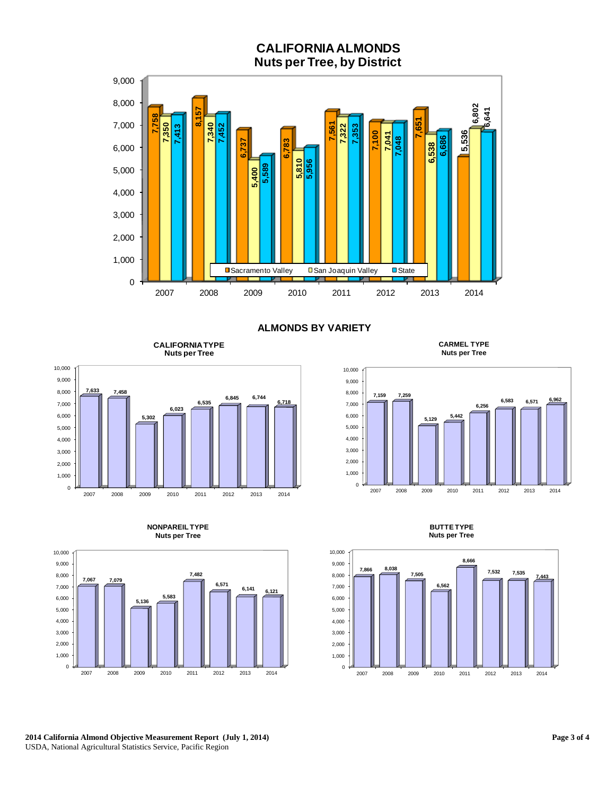# **CALIFORNIA ALMONDS Nuts per Tree, by District**



**ALMONDS BY VARIETY**

**CALIFORNIA TYPE Nuts per Tree**



**CARMEL TYPE Nuts per Tree**





**NONPAREIL TYPE** 

**BUTTE TYPE Nuts per Tree**



**2014 California Almond Objective Measurement Report (July 1, 2014)** USDA, National Agricultural Statistics Service, Pacific Region